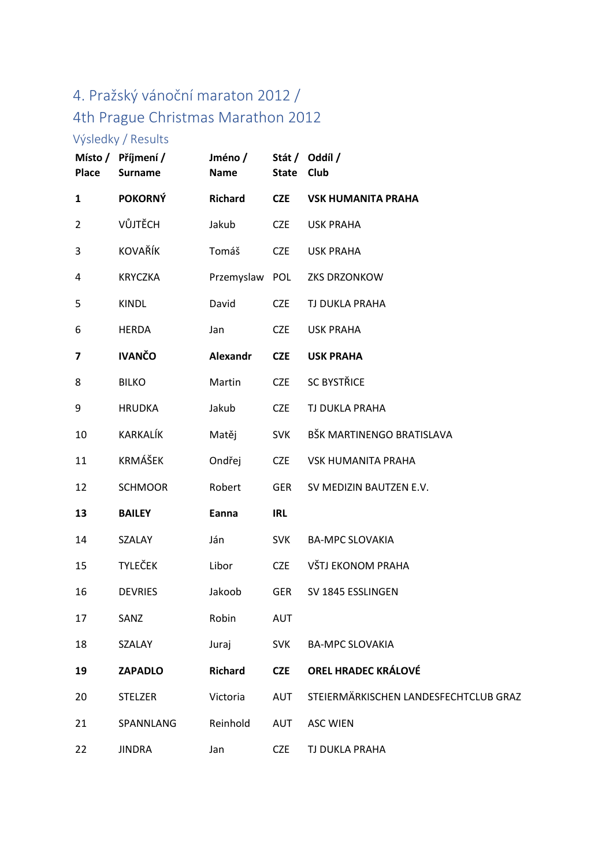## 4. Pražský vánoční maraton 2012 / 4th Prague Christmas Marathon 2012

## Výsledky / Results

| Place          | Místo / Příjmení /<br><b>Surname</b> | Jméno/<br><b>Name</b> | <b>State</b> | Stát / Oddíl /<br>Club                |
|----------------|--------------------------------------|-----------------------|--------------|---------------------------------------|
| $\mathbf{1}$   | <b>POKORNÝ</b>                       | <b>Richard</b>        | <b>CZE</b>   | <b>VSK HUMANITA PRAHA</b>             |
| $\overline{2}$ | VŮJTĚCH                              | Jakub                 | <b>CZE</b>   | <b>USK PRAHA</b>                      |
| 3              | <b>KOVAŘÍK</b>                       | Tomáš                 | <b>CZE</b>   | <b>USK PRAHA</b>                      |
| 4              | <b>KRYCZKA</b>                       | Przemyslaw            | <b>POL</b>   | ZKS DRZONKOW                          |
| 5              | <b>KINDL</b>                         | David                 | <b>CZE</b>   | TJ DUKLA PRAHA                        |
| 6              | <b>HERDA</b>                         | Jan                   | <b>CZE</b>   | <b>USK PRAHA</b>                      |
| 7              | <b>IVANČO</b>                        | <b>Alexandr</b>       | <b>CZE</b>   | <b>USK PRAHA</b>                      |
| 8              | <b>BILKO</b>                         | Martin                | <b>CZE</b>   | <b>SC BYSTŘICE</b>                    |
| 9              | <b>HRUDKA</b>                        | Jakub                 | <b>CZE</b>   | TJ DUKLA PRAHA                        |
| 10             | KARKALÍK                             | Matěj                 | <b>SVK</b>   | BŠK MARTINENGO BRATISLAVA             |
| 11             | <b>KRMÁŠEK</b>                       | Ondřej                | <b>CZE</b>   | <b>VSK HUMANITA PRAHA</b>             |
| 12             | <b>SCHMOOR</b>                       | Robert                | <b>GER</b>   | SV MEDIZIN BAUTZEN E.V.               |
| 13             | <b>BAILEY</b>                        | Eanna                 | <b>IRL</b>   |                                       |
| 14             | SZALAY                               | Ján                   | <b>SVK</b>   | <b>BA-MPC SLOVAKIA</b>                |
| 15             | <b>TYLEČEK</b>                       | Libor                 | <b>CZE</b>   | VŠTJ EKONOM PRAHA                     |
| 16             | <b>DEVRIES</b>                       | Jakoob                | <b>GER</b>   | SV 1845 ESSLINGEN                     |
| 17             | SANZ                                 | Robin                 | <b>AUT</b>   |                                       |
| 18             | SZALAY                               | Juraj                 | <b>SVK</b>   | <b>BA-MPC SLOVAKIA</b>                |
| 19             | <b>ZAPADLO</b>                       | <b>Richard</b>        | <b>CZE</b>   | <b>OREL HRADEC KRÁLOVÉ</b>            |
| 20             | <b>STELZER</b>                       | Victoria              | <b>AUT</b>   | STEIERMÄRKISCHEN LANDESFECHTCLUB GRAZ |
| 21             | SPANNLANG                            | Reinhold              | <b>AUT</b>   | <b>ASC WIEN</b>                       |
| 22             | <b>JINDRA</b>                        | Jan                   | CZE          | TJ DUKLA PRAHA                        |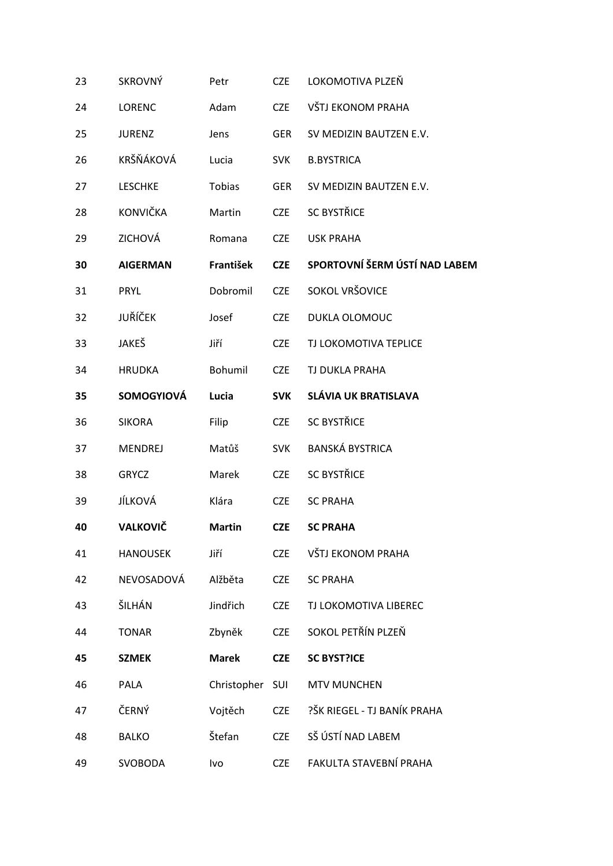| 23 | <b>SKROVNÝ</b>    | Petr          | <b>CZE</b> | LOKOMOTIVA PLZEŇ              |
|----|-------------------|---------------|------------|-------------------------------|
| 24 | <b>LORENC</b>     | Adam          | <b>CZE</b> | VŠTJ EKONOM PRAHA             |
| 25 | <b>JURENZ</b>     | Jens          | <b>GER</b> | SV MEDIZIN BAUTZEN E.V.       |
| 26 | KRŠŇÁKOVÁ         | Lucia         | <b>SVK</b> | <b>B.BYSTRICA</b>             |
| 27 | <b>LESCHKE</b>    | Tobias        | <b>GER</b> | SV MEDIZIN BAUTZEN E.V.       |
| 28 | <b>KONVIČKA</b>   | Martin        | <b>CZE</b> | <b>SC BYSTŘICE</b>            |
| 29 | ZICHOVÁ           | Romana        | <b>CZE</b> | <b>USK PRAHA</b>              |
| 30 | <b>AIGERMAN</b>   | František     | <b>CZE</b> | SPORTOVNÍ ŠERM ÚSTÍ NAD LABEM |
| 31 | PRYL              | Dobromil      | <b>CZE</b> | SOKOL VRŠOVICE                |
| 32 | JUŘÍČEK           | Josef         | <b>CZE</b> | DUKLA OLOMOUC                 |
| 33 | JAKEŠ             | Jiří          | <b>CZE</b> | TJ LOKOMOTIVA TEPLICE         |
| 34 | <b>HRUDKA</b>     | Bohumil       | <b>CZE</b> | TJ DUKLA PRAHA                |
| 35 | <b>SOMOGYIOVÁ</b> | Lucia         | <b>SVK</b> | <b>SLÁVIA UK BRATISLAVA</b>   |
| 36 | <b>SIKORA</b>     | Filip         | <b>CZE</b> | <b>SC BYSTŘICE</b>            |
| 37 | <b>MENDREJ</b>    | Matůš         | <b>SVK</b> | <b>BANSKÁ BYSTRICA</b>        |
| 38 | <b>GRYCZ</b>      | Marek         | <b>CZE</b> | <b>SC BYSTŘICE</b>            |
| 39 | JÍLKOVÁ           | Klára         | <b>CZE</b> | <b>SC PRAHA</b>               |
| 40 | <b>VALKOVIČ</b>   | <b>Martin</b> | <b>CZE</b> | <b>SC PRAHA</b>               |
| 41 | <b>HANOUSEK</b>   | Jiří          | <b>CZE</b> | VŠTJ EKONOM PRAHA             |
| 42 | NEVOSADOVÁ        | Alžběta       | <b>CZE</b> | <b>SC PRAHA</b>               |
| 43 | ŠILHÁN            | Jindřich      | <b>CZE</b> | TJ LOKOMOTIVA LIBEREC         |
| 44 | <b>TONAR</b>      | Zbyněk        | <b>CZE</b> | SOKOL PETŘÍN PLZEŇ            |
| 45 | <b>SZMEK</b>      | <b>Marek</b>  | <b>CZE</b> | <b>SC BYST?ICE</b>            |
| 46 | PALA              | Christopher   | SUI        | <b>MTV MUNCHEN</b>            |
| 47 | ČERNÝ             | Vojtěch       | <b>CZE</b> | ?ŠK RIEGEL - TJ BANÍK PRAHA   |
| 48 | <b>BALKO</b>      | Štefan        | <b>CZE</b> | SŠ ÚSTÍ NAD LABEM             |
| 49 | <b>SVOBODA</b>    | Ivo           | <b>CZE</b> | FAKULTA STAVEBNÍ PRAHA        |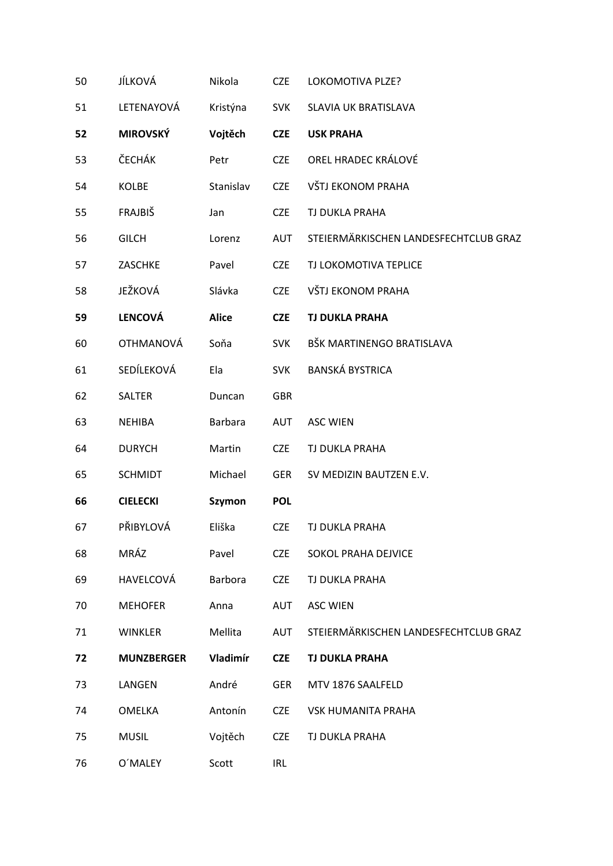| 50 | JÍLKOVÁ           | Nikola         | <b>CZE</b> | LOKOMOTIVA PLZE?                      |
|----|-------------------|----------------|------------|---------------------------------------|
| 51 | LETENAYOVÁ        | Kristýna       | <b>SVK</b> | SLAVIA UK BRATISLAVA                  |
| 52 | <b>MIROVSKÝ</b>   | Vojtěch        | <b>CZE</b> | <b>USK PRAHA</b>                      |
| 53 | ČECHÁK            | Petr           | <b>CZE</b> | OREL HRADEC KRÁLOVÉ                   |
| 54 | KOLBE             | Stanislav      | <b>CZE</b> | VŠTJ EKONOM PRAHA                     |
| 55 | FRAJBIŠ           | Jan            | <b>CZE</b> | TJ DUKLA PRAHA                        |
| 56 | <b>GILCH</b>      | Lorenz         | AUT        | STEIERMÄRKISCHEN LANDESFECHTCLUB GRAZ |
| 57 | ZASCHKE           | Pavel          | <b>CZE</b> | TJ LOKOMOTIVA TEPLICE                 |
| 58 | JEŽKOVÁ           | Slávka         | <b>CZE</b> | VŠTJ EKONOM PRAHA                     |
| 59 | <b>LENCOVÁ</b>    | <b>Alice</b>   | <b>CZE</b> | <b>TJ DUKLA PRAHA</b>                 |
| 60 | <b>OTHMANOVÁ</b>  | Soňa           | <b>SVK</b> | BŠK MARTINENGO BRATISLAVA             |
| 61 | SEDÍLEKOVÁ        | Ela            | <b>SVK</b> | <b>BANSKÁ BYSTRICA</b>                |
| 62 | SALTER            | Duncan         | <b>GBR</b> |                                       |
| 63 | <b>NEHIBA</b>     | <b>Barbara</b> | <b>AUT</b> | <b>ASC WIEN</b>                       |
| 64 | <b>DURYCH</b>     | Martin         | <b>CZE</b> | TJ DUKLA PRAHA                        |
| 65 | <b>SCHMIDT</b>    | Michael        | <b>GER</b> | SV MEDIZIN BAUTZEN E.V.               |
| 66 | <b>CIELECKI</b>   | <b>Szymon</b>  | <b>POL</b> |                                       |
| 67 | PŘIBYLOVÁ         | Eliška         | <b>CZE</b> | TJ DUKLA PRAHA                        |
| 68 | MRÁZ              | Pavel          | <b>CZE</b> | SOKOL PRAHA DEJVICE                   |
| 69 | HAVELCOVÁ         | <b>Barbora</b> | <b>CZE</b> | TJ DUKLA PRAHA                        |
| 70 | <b>MEHOFER</b>    | Anna           | AUT        | <b>ASC WIEN</b>                       |
| 71 | <b>WINKLER</b>    | Mellita        | AUT        | STEIERMÄRKISCHEN LANDESFECHTCLUB GRAZ |
| 72 | <b>MUNZBERGER</b> | Vladimír       | <b>CZE</b> | <b>TJ DUKLA PRAHA</b>                 |
| 73 | LANGEN            | André          | <b>GER</b> | MTV 1876 SAALFELD                     |
| 74 | <b>OMELKA</b>     | Antonín        | <b>CZE</b> | <b>VSK HUMANITA PRAHA</b>             |
| 75 | <b>MUSIL</b>      | Vojtěch        | <b>CZE</b> | TJ DUKLA PRAHA                        |
| 76 | O'MALEY           | Scott          | <b>IRL</b> |                                       |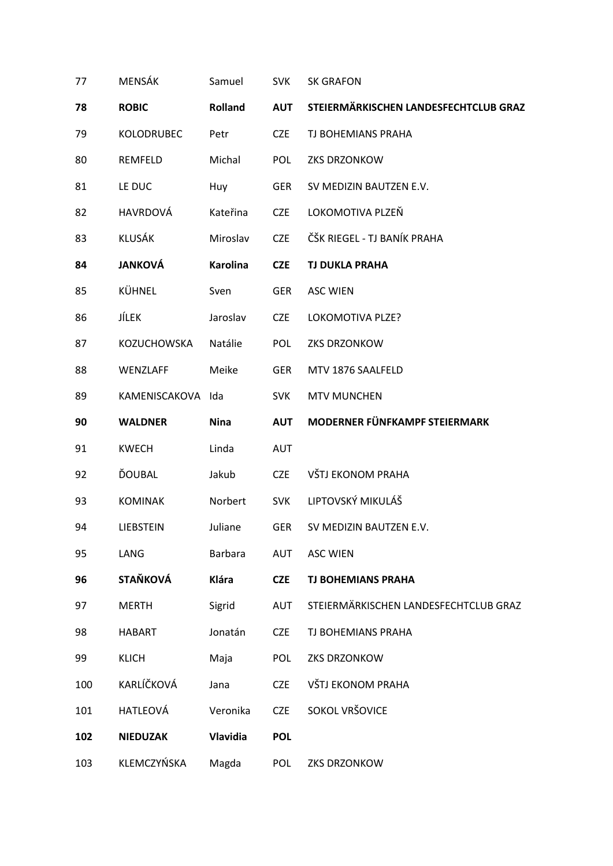| 77  | MENSÁK             | Samuel          | <b>SVK</b> | <b>SK GRAFON</b>                      |
|-----|--------------------|-----------------|------------|---------------------------------------|
| 78  | <b>ROBIC</b>       | Rolland         | <b>AUT</b> | STEIERMÄRKISCHEN LANDESFECHTCLUB GRAZ |
| 79  | KOLODRUBEC         | Petr            | <b>CZE</b> | TJ BOHEMIANS PRAHA                    |
| 80  | REMFELD            | Michal          | <b>POL</b> | ZKS DRZONKOW                          |
| 81  | LE DUC             | Huy             | <b>GER</b> | SV MEDIZIN BAUTZEN E.V.               |
| 82  | HAVRDOVÁ           | Kateřina        | <b>CZE</b> | LOKOMOTIVA PLZEŇ                      |
| 83  | KLUSÁK             | Miroslav        | <b>CZE</b> | ČŠK RIEGEL - TJ BANÍK PRAHA           |
| 84  | <b>JANKOVÁ</b>     | <b>Karolina</b> | <b>CZE</b> | <b>TJ DUKLA PRAHA</b>                 |
| 85  | KÜHNEL             | Sven            | <b>GER</b> | <b>ASC WIEN</b>                       |
| 86  | JÍLEK              | Jaroslav        | <b>CZE</b> | LOKOMOTIVA PLZE?                      |
| 87  | <b>KOZUCHOWSKA</b> | Natálie         | <b>POL</b> | ZKS DRZONKOW                          |
| 88  | WENZLAFF           | Meike           | <b>GER</b> | MTV 1876 SAALFELD                     |
| 89  | KAMENISCAKOVA      | Ida             | <b>SVK</b> | <b>MTV MUNCHEN</b>                    |
| 90  | <b>WALDNER</b>     | <b>Nina</b>     | <b>AUT</b> | MODERNER FÜNFKAMPF STEIERMARK         |
| 91  | <b>KWECH</b>       | Linda           | <b>AUT</b> |                                       |
| 92  | ĎOUBAL             | Jakub           | <b>CZE</b> | VŠTJ EKONOM PRAHA                     |
| 93  | <b>KOMINAK</b>     | Norbert         | <b>SVK</b> | LIPTOVSKÝ MIKULÁŠ                     |
| 94  | LIEBSTEIN          | Juliane         | <b>GER</b> | SV MEDIZIN BAUTZEN E.V.               |
| 95  | LANG               | <b>Barbara</b>  | <b>AUT</b> | <b>ASC WIEN</b>                       |
| 96  | <b>STAŇKOVÁ</b>    | <b>Klára</b>    | <b>CZE</b> | <b>TJ BOHEMIANS PRAHA</b>             |
| 97  | <b>MERTH</b>       | Sigrid          | <b>AUT</b> | STEIERMÄRKISCHEN LANDESFECHTCLUB GRAZ |
| 98  | <b>HABART</b>      | Jonatán         | <b>CZE</b> | TJ BOHEMIANS PRAHA                    |
| 99  | <b>KLICH</b>       | Maja            | <b>POL</b> | ZKS DRZONKOW                          |
| 100 | KARLÍČKOVÁ         | Jana            | <b>CZE</b> | VŠTJ EKONOM PRAHA                     |
| 101 | HATLEOVÁ           | Veronika        | <b>CZE</b> | SOKOL VRŠOVICE                        |
| 102 | <b>NIEDUZAK</b>    | Vlavidia        | <b>POL</b> |                                       |
| 103 | KLEMCZYŃSKA        | Magda           | <b>POL</b> | ZKS DRZONKOW                          |